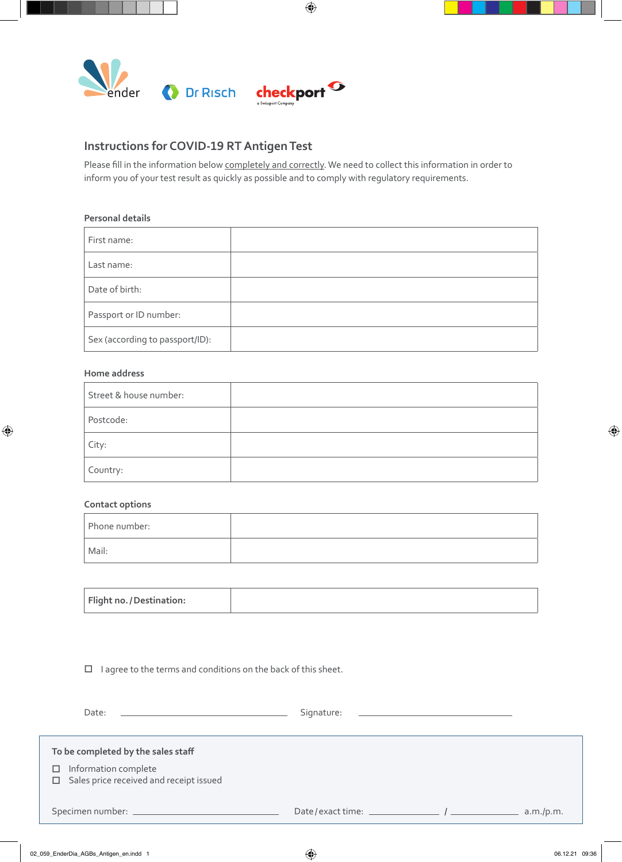

## **Instructions for COVID-19 RT Antigen Test**

Please fill in the information below completely and correctly. We need to collect this information in order to inform you of your test result as quickly as possible and to comply with regulatory requirements.

 $\bigoplus$ 

## **Personal details**

| First name:                     |  |
|---------------------------------|--|
| Last name:                      |  |
| Date of birth:                  |  |
| Passport or ID number:          |  |
| Sex (according to passport/ID): |  |

## **Home address**

 $\bigoplus$ 

| Street & house number: |  |
|------------------------|--|
| Postcode:              |  |
| City:                  |  |
| Country:               |  |

## **Contact options**

| Phone number: |  |
|---------------|--|
| Mail:         |  |

| Flight no. / Destination: |  |
|---------------------------|--|
|                           |  |

 $\Box$  I agree to the terms and conditions on the back of this sheet.

| Date:                                                                                                                | Signature: |           |
|----------------------------------------------------------------------------------------------------------------------|------------|-----------|
| To be completed by the sales staff<br>Information complete<br>□<br>Sales price received and receipt issued<br>$\Box$ |            |           |
|                                                                                                                      |            | a.m./p.m. |

⊕